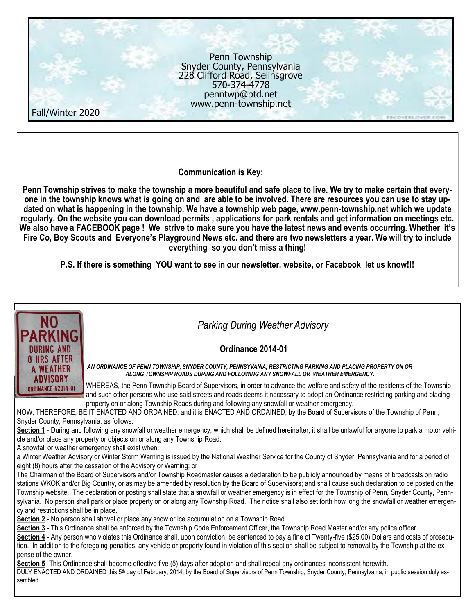

**Communication is Key:**

**Penn Township strives to make the township a more beautiful and safe place to live. We try to make certain that everyone in the township knows what is going on and are able to be involved. There are resources you can use to stay updated on what is happening in the township. We have a township web page, www.penn-township.net which we update regularly. On the website you can download permits , applications for park rentals and get information on meetings etc. We also have a FACEBOOK page ! We strive to make sure you have the latest news and events occurring. Whether it's Fire Co, Boy Scouts and Everyone's Playground News etc. and there are two newsletters a year. We will try to include everything so you don't miss a thing!**

**P.S. If there is something YOU want to see in our newsletter, website, or Facebook let us know!!!**



 *Parking During Weather Advisory* 

## **Ordinance 2014-01**

*AN ORDINANCE OF PENN TOWNSHIP, SNYDER COUNTY, PENNSYVANIA, RESTRICTING PARKING AND PLACING PROPERTY ON OR ALONG TOWNSHIP ROADS DURING AND FOLLOWING ANY SNOWFALL OR WEATHER EMERGENCY.*

WHEREAS, the Penn Township Board of Supervisors, in order to advance the welfare and safety of the residents of the Township and such other persons who use said streets and roads deems it necessary to adopt an Ordinance restricting parking and placing property on or along Township Roads during and following any snowfall or weather emergency.

NOW, THEREFORE, BE IT ENACTED AND ORDAINED, and it is ENACTED AND ORDAINED, by the Board of Supervisors of the Township of Penn, Snyder County, Pennsylvania, as follows:

**Section 1** - During and following any snowfall or weather emergency, which shall be defined hereinafter, it shall be unlawful for anyone to park a motor vehicle and/or place any property or objects on or along any Township Road.

A snowfall or weather emergency shall exist when:

a Winter Weather Advisory or Winter Storm Warning is issued by the National Weather Service for the County of Snyder, Pennsylvania and for a period of eight (8) hours after the cessation of the Advisory or Warning; or

The Chairman of the Board of Supervisors and/or Township Roadmaster causes a declaration to be publicly announced by means of broadcasts on radio stations WKOK and/or Big Country, or as may be amended by resolution by the Board of Supervisors; and shall cause such declaration to be posted on the Township website. The declaration or posting shall state that a snowfall or weather emergency is in effect for the Township of Penn, Snyder County, Pennsylvania. No person shall park or place property on or along any Township Road. The notice shall also set forth how long the snowfall or weather emergency and restrictions shall be in place.

**Section 2** - No person shall shovel or place any snow or ice accumulation on a Township Road.

**Section 3** - This Ordinance shall be enforced by the Township Code Enforcement Officer, the Township Road Master and/or any police officer.

Section 4 - Any person who violates this Ordinance shall, upon conviction, be sentenced to pay a fine of Twenty-five (\$25.00) Dollars and costs of prosecution. In addition to the foregoing penalties, any vehicle or property found in violation of this section shall be subject to removal by the Township at the expense of the owner.

**Section 5** -This Ordinance shall become effective five (5) days after adoption and shall repeal any ordinances inconsistent herewith.

DULY ENACTED AND ORDAINED this 5th day of February, 2014, by the Board of Supervisors of Penn Township, Snyder County, Pennsylvania, in public session duly assembled.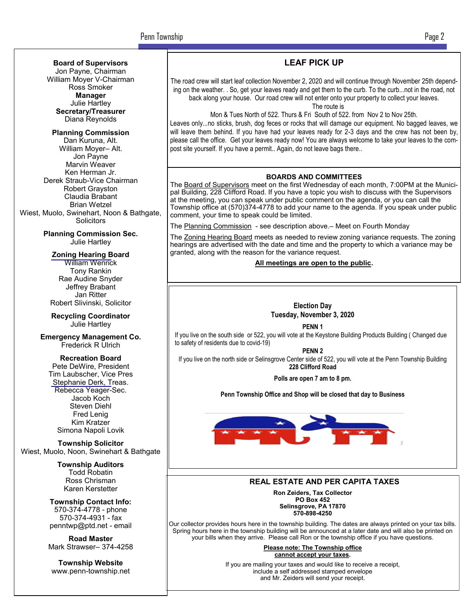## **LEAF PICK UP**

The road crew will start leaf collection November 2, 2020 and will continue through November 25th depending on the weather. . So, get your leaves ready and get them to the curb. To the curb...not in the road, not back along your house. Our road crew will not enter onto your property to collect your leaves.

The route is

Mon & Tues North of 522. Thurs & Fri South of 522. from Nov 2 to Nov 25th.

Leaves only...no sticks, brush, dog feces or rocks that will damage our equipment. No bagged leaves, we will leave them behind. If you have had your leaves ready for 2-3 days and the crew has not been by, please call the office. Get your leaves ready now! You are always welcome to take your leaves to the compost site yourself. If you have a permit.. Again, do not leave bags there..

#### **BOARDS AND COMMITTEES**

The Board of Supervisors meet on the first Wednesday of each month, 7:00PM at the Municipal Building, 228 Clifford Road. If you have a topic you wish to discuss with the Supervisors at the meeting, you can speak under public comment on the agenda, or you can call the Township office at (570)374-4778 to add your name to the agenda. If you speak under public comment, your time to speak could be limited.

The Planning Commission - see description above. – Meet on Fourth Monday

The Zoning Hearing Board meets as needed to review zoning variance requests. The zoning hearings are advertised with the date and time and the property to which a variance may be granted, along with the reason for the variance request.

**All meetings are open to the public.**



**PENN 1**

If you live on the south side or 522, you will vote at the Keystone Building Products Building ( Changed due to safety of residents due to covid-19)

**PENN 2**

If you live on the north side or Selinsgrove Center side of 522, you will vote at the Penn Township Building **228 Clifford Road**

**Polls are open 7 am to 8 pm.**

**Penn Township Office and Shop will be closed that day to Business**



#### **REAL ESTATE AND PER CAPITA TAXES**

**Ron Zeiders, Tax Collector PO Box 452 Selinsgrove, PA 17870 570-898-4250**

Our collector provides hours here in the township building. The dates are always printed on your tax bills. Spring hours here in the township building will be announced at a later date and will also be printed on your bills when they arrive. Please call Ron or the township office if you have questions.

> **Please note: The Township office cannot accept your taxes.**

If you are mailing your taxes and would like to receive a receipt, include a self addressed stamped envelope and Mr. Zeiders will send your receipt.

**Board of Supervisors**

Jon Payne, Chairman William Moyer V-Chairman Ross Smoker **Manager** Julie Hartley **Secretary/Treasurer** Diana Reynolds

**Planning Commission** Dan Kuruna, Alt. William Moyer– Alt. Jon Payne Marvin Weaver Ken Herman Jr. Derek Straub-Vice Chairman Robert Grayston Claudia Brabant Brian Wetzel Wiest, Muolo, Swinehart, Noon & Bathgate, **Solicitors** 

> **Planning Commission Sec.** Julie Hartley

**Zoning Hearing Board**

William Wenrick Tony Rankin Rae Audine Snyder Jeffrey Brabant Jan Ritter Robert Slivinski, Solicitor

**Recycling Coordinator** Julie Hartley

**Emergency Management Co.** Frederick R Ulrich

**Recreation Board** Pete DeWire, President Tim Laubscher, Vice Pres Stephanie Derk, Treas. Rebecca Yeager-Sec. Jacob Koch Steven Diehl Fred Lenig Kim Kratzer Simona Napoli Lovik

**Township Solicitor** Wiest, Muolo, Noon, Swinehart & Bathgate

> **Township Auditors** Todd Robatin Ross Chrisman Karen Kerstetter

**Township Contact Info:** 570-374-4778 - phone 570-374-4931 - fax penntwp@ptd.net - email

**Road Master** Mark Strawser– 374-4258

**Township Website** www.penn-township.net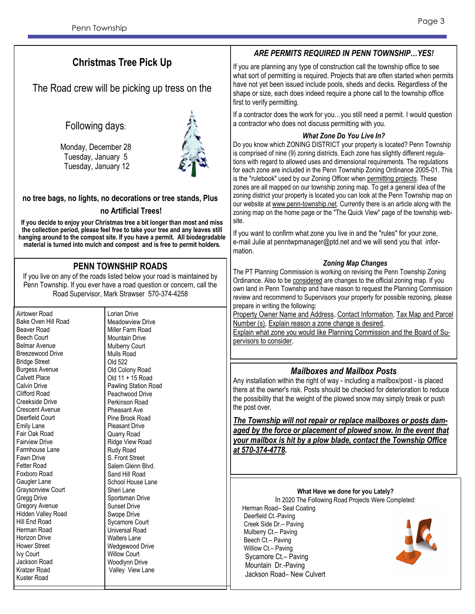# **Christmas Tree Pick Up**

The Road crew will be picking up tress on the

## Following days:

Monday, December 28 Tuesday, January 5 Tuesday, January 12



#### **no tree bags, no lights, no decorations or tree stands, Plus**

#### **no Artificial Trees!**

**If you decide to enjoy your Christmas tree a bit longer than most and miss the collection period, please feel free to take your tree and any leaves still hanging around to the compost site. If you have a permit. All biodegradable material is turned into mulch and compost and is free to permit holders.**

## **PENN TOWNSHIP ROADS**

If you live on any of the roads listed below your road is maintained by Penn Township. If you ever have a road question or concern, call the Road Supervisor, Mark Strawser 570-374-4258

Airtower Road Bake Oven Hill Road Beaver Road Beech Court Belmar Avenue Breezewood Drive Bridge Street Burgess Avenue Calvett Place Calvin Drive Clifford Road Creekside Drive Crescent Avenue Deerfield Court Emily Lane Fair Oak Road Fairview Drive Farmhouse Lane Fawn Drive Fetter Road Foxboro Road Gaugler Lane Graysonview Court Gregg Drive Gregory Avenue Hidden Valley Road Hill End Road Herman Road Horizon Drive Hower Street Ivy Court Jackson Road Kratzer Road Kuster Road Lorian Drive Meadowview Drive Mountain Drive Mulberry Court Mulls Road Old 522 Perkinson Road Pheasant Ave Pleasant Drive Quarry Road Rudy Road S. Front Street Sand Hill Road Sheri Lane Sportsman Drive Sunset Drive Swope Drive Sycamore Court Universal Road Walters Lane Willow Court Woodlynn Drive Valley View Lane

Miller Farm Road Old Colony Road Old 11 + 15 Road Pawling Station Road Peachwood Drive Pine Brook Road Ridge View Road Salem Glenn Blvd. School House Lane Wedgewood Drive

## *ARE PERMITS REQUIRED IN PENN TOWNSHIP…YES!*

If you are planning any type of construction call the township office to see what sort of permitting is required. Projects that are often started when permits have not yet been issued include pools, sheds and decks. Regardless of the shape or size, each does indeed require a phone call to the township office first to verify permitting.

If a contractor does the work for you…you still need a permit. I would question a contractor who does not discuss permitting with you.

#### *What Zone Do You Live In?*

Do you know which ZONING DISTRICT your property is located? Penn Township is comprised of nine (9) zoning districts. Each zone has slightly different regulations with regard to allowed uses and dimensional requirements. The regulations for each zone are included in the Penn Township Zoning Ordinance 2005-01. This is the "rulebook" used by our Zoning Officer when permitting projects. These zones are all mapped on our township zoning map. To get a general idea of the zoning district your property is located you can look at the Penn Township map on our website at www.penn-township.net. Currently there is an article along with the zoning map on the home page or the "The Quick View" page of the township website.

If you want to confirm what zone you live in and the "rules" for your zone, e-mail Julie at penntwpmanager@ptd.net and we will send you that information.

#### *Zoning Map Changes*

The PT Planning Commission is working on revising the Penn Township Zoning Ordinance. Also to be considered are changes to the official zoning map. If you own land in Penn Township and have reason to request the Planning Commission review and recommend to Supervisors your property for possible rezoning, please prepare in writing the following:

Property Owner Name and Address, Contact Information, Tax Map and Parcel Number (s), Explain reason a zone change is desired,

Explain what zone you would like Planning Commission and the Board of Supervisors to consider.

## *Mailboxes and Mailbox Posts*

Any installation within the right of way - including a mailbox/post - is placed there at the owner's risk. Posts should be checked for deterioration to reduce the possibility that the weight of the plowed snow may simply break or push the post over.

*The Township will not repair or replace mailboxes or posts damaged by the force or placement of plowed snow. In the event that your mailbox is hit by a plow blade, contact the Township Office at 570-374-4778.*

#### **What Have we done for you Lately?**

In 2020 The Following Road Projects Were Completed: Herman Road– Seal Coating Deerfield Ct.-Paving Creek Side Dr.– Paving Mulberry Ct.– Paving Beech Ct.– Paving Williow Ct.– Paving Sycamore Ct.– Paving Mountain Dr.-Paving Jackson Road– New Culvert

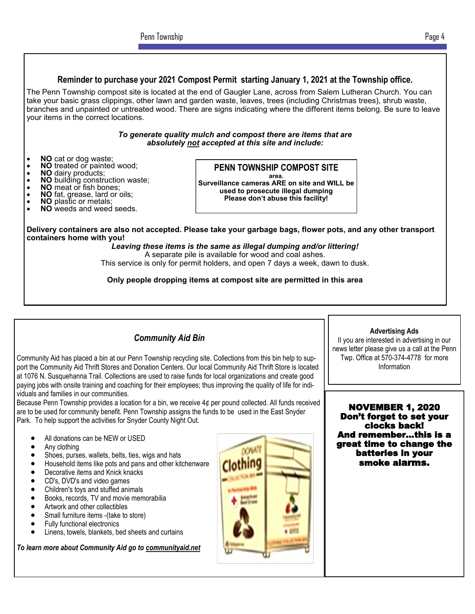### **Reminder to purchase your 2021 Compost Permit starting January 1, 2021 at the Township office.**

The Penn Township compost site is located at the end of Gaugler Lane, across from Salem Lutheran Church. You can take your basic grass clippings, other lawn and garden waste, leaves, trees (including Christmas trees), shrub waste, branches and unpainted or untreated wood. There are signs indicating where the different items belong. Be sure to leave your items in the correct locations.

#### *To generate quality mulch and compost there are items that are absolutely not accepted at this site and include:*

- **NO** cat or dog waste;
- **NO** treated or painted wood;<br>• **NO** dairy products:
- **NO** dairy products;
- **NO** building construction waste;
- **NO** meat or fish bones;
- **NO** fat, grease, lard or oils;
- **NO** plastic or metals;
- **NO** weeds and weed seeds.

## **PENN TOWNSHIP COMPOST SITE**

**area. Surveillance cameras ARE on site and WILL be used to prosecute illegal dumping Please don't abuse this facility!**

**Delivery containers are also not accepted. Please take your garbage bags, flower pots, and any other transport containers home with you!** 

*Leaving these items is the same as illegal dumping and/or littering!* A separate pile is available for wood and coal ashes.

This service is only for permit holders, and open 7 days a week, dawn to dusk.

**Only people dropping items at compost site are permitted in this area**

## *Community Aid Bin*

Community Aid has placed a bin at our Penn Township recycling site. Collections from this bin help to support the Community Aid Thrift Stores and Donation Centers. Our local Community Aid Thrift Store is located at 1076 N. Susquehanna Trail. Collections are used to raise funds for local organizations and create good paying jobs with onsite training and coaching for their employees; thus improving the quality of life for individuals and families in our communities.

Because Penn Township provides a location for a bin, we receive 4¢ per pound collected. All funds received are to be used for community benefit. Penn Township assigns the funds to be used in the East Snyder Park. To help support the activities for Snyder County Night Out.

- All donations can be NEW or USED
- Any clothing
- Shoes, purses, wallets, belts, ties, wigs and hats
- Household items like pots and pans and other kitchenware
- Decorative items and Knick knacks
- CD's, DVD's and video games
- Children's toys and stuffed animals
- Books, records, TV and movie memorabilia
- Artwork and other collectibles
- Small furniture items -(take to store)
- Fully functional electronics
- Linens, towels, blankets, bed sheets and curtains

*To learn more about Community Aid go to communityaid.net*



NOVEMBER 1, 2020 Don't forget to set your clocks back! And remember...this is a great time to change the

**Advertising Ads** II you are interested in advertising in our news letter please give us a call at the Penn Twp. Office at 570-374-4778 for more Information

batteries in your smoke alarms.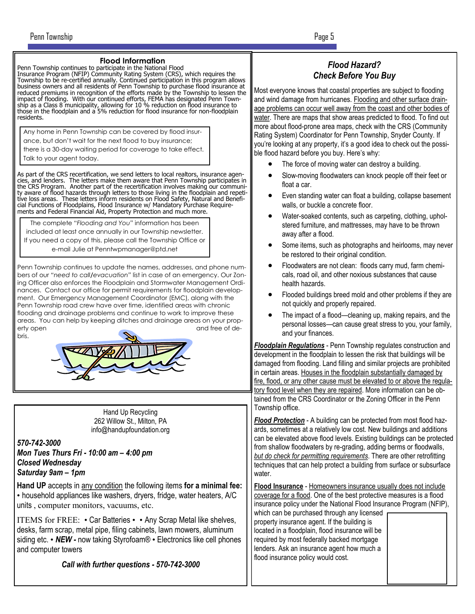#### **Flood Information**

Penn Township continues to participate in the National Flood Insurance Program (NFIP) Community Rating System (CRS), which requires the Township to be re-certified annually. Continued participation in this program allows business owners and all residents of Penn Township to purchase flood insurance at reduced premiums in recognition of the efforts made by the Township to lessen the impact of flooding. With our continued efforts, FEMA has designated Penn Township as a Class 8 municipality, allowing for 10 % reduction on flood insurance to those in the floodplain and a 5% reduction for flood insurance for non-floodplain residents.

Any home in Penn Township can be covered by flood insurance, but don't wait for the next flood to buy insurance;

there is a 30-day waiting period for coverage to take effect.

Talk to your agent today.

As part of the CRS recertification, we send letters to local realtors, insurance agen-cies, and lenders. The letters make them aware that Penn Township participates in the CRS Program. Another part of the recertification involves making our community aware of flood hazards through letters to those living in the floodplain and repeti-tive loss areas. These letters inform residents on Flood Safety, Natural and Beneficial Functions of Floodplains, Flood Insurance w/ Mandatory Purchase Requirements and Federal Financial Aid, Property Protection and much more.

The complete "*Flooding and You*" information has been included at least once annually in our Township newsletter. If you need a copy of this, please call the Township Office or e-mail Julie at Penntwpmanager@ptd.net

Penn Township continues to update the names, addresses, and phone numbers of our *"need to call/evacuation"* list in case of an emergency. Our Zoning Officer also enforces the Floodplain and Stormwater Management Ordinances. Contact our office for permit requirements for floodplain development. Our Emergency Management Coordinator (EMC), along with the Penn Township road crew have over time, identified areas with chronic flooding and drainage problems and continue to work to improve these areas. You can help by keeping ditches and drainage areas on your property open and free of debris.



Hand Up Recycling 262 Willow St., Milton, PA info@handupfoundation.org

*570-742-3000 Mon Tues Thurs Fri - 10:00 am – 4:00 pm Closed Wednesday Saturday 9am – 1pm*

**Hand UP** accepts in any condition the following items **for a minimal fee:** • household appliances like washers, dryers, fridge, water heaters, A/C units , computer monitors, vacuums, etc.

ITEMS for FREE: • Car Batteries • • Any Scrap Metal like shelves, desks, farm scrap, metal pipe, filing cabinets, lawn mowers, aluminum siding etc. • *NEW -* now taking Styrofoam® • Electronics like cell phones and computer towers

*Call with further questions - 570-742-3000*

## *Flood Hazard? Check Before You Buy*

Most everyone knows that coastal properties are subject to flooding and wind damage from hurricanes. Flooding and other surface drainage problems can occur well away from the coast and other bodies of water. There are maps that show areas predicted to flood. To find out more about flood-prone area maps, check with the CRS (Community Rating System) Coordinator for Penn Township, Snyder County. If you're looking at any property, it's a good idea to check out the possible flood hazard before you buy. Here's why:

- The force of moving water can destroy a building.
- Slow-moving floodwaters can knock people off their feet or float a car.
- Even standing water can float a building, collapse basement walls, or buckle a concrete floor.
- Water-soaked contents, such as carpeting, clothing, upholstered furniture, and mattresses, may have to be thrown away after a flood.
- Some items, such as photographs and heirlooms, may never be restored to their original condition.
- Floodwaters are not clean: floods carry mud, farm chemicals, road oil, and other noxious substances that cause health hazards.
- Flooded buildings breed mold and other problems if they are not quickly and properly repaired.
- The impact of a flood—cleaning up, making repairs, and the personal losses—can cause great stress to you, your family, and your finances.

*Floodplain Regulations* - Penn Township regulates construction and development in the floodplain to lessen the risk that buildings will be damaged from flooding. Land filling and similar projects are prohibited in certain areas. Houses in the floodplain substantially damaged by fire, flood, or any other cause must be elevated to or above the regulatory flood level when they are repaired. More information can be obtained from the CRS Coordinator or the Zoning Officer in the Penn Township office.

*Flood Protection* - A building can be protected from most flood hazards, sometimes at a relatively low cost. New buildings and additions can be elevated above flood levels. Existing buildings can be protected from shallow floodwaters by re-grading, adding berms or floodwalls, *but do check for permitting requirements*. There are other retrofitting techniques that can help protect a building from surface or subsurface water.

**Flood Insurance** - Homeowners insurance usually does not include coverage for a flood. One of the best protective measures is a flood insurance policy under the National Flood Insurance Program (NFIP),

which can be purchased through any licensed property insurance agent. If the building is located in a floodplain, flood insurance will be required by most federally backed mortgage lenders. Ask an insurance agent how much a flood insurance policy would cost.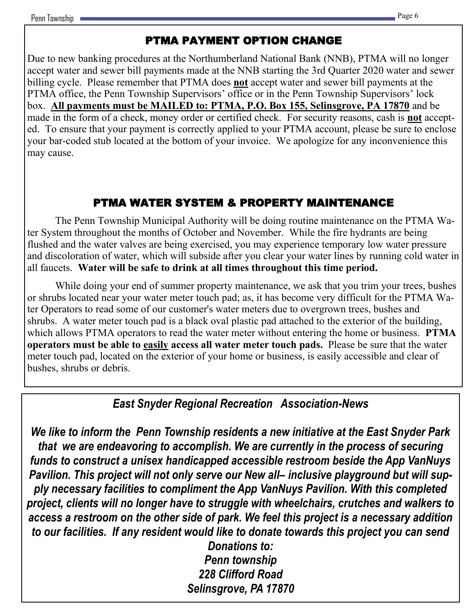# PTMA PAYMENT OPTION CHANGE

Due to new banking procedures at the Northumberland National Bank (NNB), PTMA will no longer accept water and sewer bill payments made at the NNB starting the 3rd Quarter 2020 water and sewer billing cycle. Please remember that PTMA does **not** accept water and sewer bill payments at the PTMA office, the Penn Township Supervisors' office or in the Penn Township Supervisors' lock box. **All payments must be MAILED to: PTMA, P.O. Box 155, Selinsgrove, PA 17870** and be made in the form of a check, money order or certified check. For security reasons, cash is **not** accepted. To ensure that your payment is correctly applied to your PTMA account, please be sure to enclose your bar-coded stub located at the bottom of your invoice. We apologize for any inconvenience this may cause.

# PTMA WATER SYSTEM & PROPERTY MAINTENANCE

The Penn Township Municipal Authority will be doing routine maintenance on the PTMA Water System throughout the months of October and November. While the fire hydrants are being flushed and the water valves are being exercised, you may experience temporary low water pressure and discoloration of water, which will subside after you clear your water lines by running cold water in all faucets. **Water will be safe to drink at all times throughout this time period.**

While doing your end of summer property maintenance, we ask that you trim your trees, bushes or shrubs located near your water meter touch pad; as, it has become very difficult for the PTMA Water Operators to read some of our customer's water meters due to overgrown trees, bushes and shrubs. A water meter touch pad is a black oval plastic pad attached to the exterior of the building, which allows PTMA operators to read the water meter without entering the home or business. **PTMA operators must be able to easily access all water meter touch pads.** Please be sure that the water meter touch pad, located on the exterior of your home or business, is easily accessible and clear of bushes, shrubs or debris.

# *East Snyder Regional Recreation Association-News*

*We like to inform the Penn Township residents a new initiative at the East Snyder Park that we are endeavoring to accomplish. We are currently in the process of securing funds to construct a unisex handicapped accessible restroom beside the App VanNuys Pavilion. This project will not only serve our New all– inclusive playground but will supply necessary facilities to compliment the App VanNuys Pavilion. With this completed project, clients will no longer have to struggle with wheelchairs, crutches and walkers to access a restroom on the other side of park. We feel this project is a necessary addition to our facilities. If any resident would like to donate towards this project you can send* 

*Donations to: Penn township 228 Clifford Road Selinsgrove, PA 17870*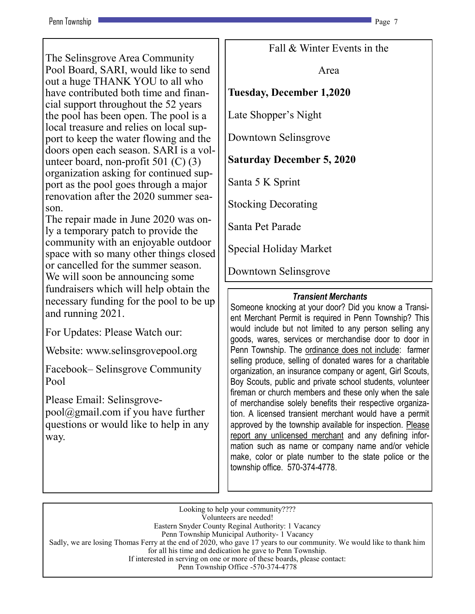### Penn Township Page 7 (2012) 2014 12:30 Page 7 (2012) 2014 2022 2023 2024 2022 2023

The Selinsgrove Area Community Pool Board, SARI, would like to send out a huge THANK YOU to all who have contributed both time and financial support throughout the 52 years the pool has been open. The pool is a local treasure and relies on local support to keep the water flowing and the doors open each season. SARI is a volunteer board, non-profit 501 (C) (3) organization asking for continued support as the pool goes through a major renovation after the 2020 summer season.

The repair made in June 2020 was only a temporary patch to provide the community with an enjoyable outdoor space with so many other things closed or cancelled for the summer season. We will soon be announcing some fundraisers which will help obtain the necessary funding for the pool to be up and running 2021.

For Updates: Please Watch our:

Website: www.selinsgrovepool.org

Facebook– Selinsgrove Community Pool

Please Email: Selinsgrovepool@gmail.com if you have further questions or would like to help in any way.

Fall & Winter Events in the

Area

## **Tuesday, December 1,2020**

Late Shopper's Night

Downtown Selinsgrove

# **Saturday December 5, 2020**

Santa 5 K Sprint

Stocking Decorating

Santa Pet Parade

Special Holiday Market

Downtown Selinsgrove

## *Transient Merchants*

Someone knocking at your door? Did you know a Transient Merchant Permit is required in Penn Township? This would include but not limited to any person selling any goods, wares, services or merchandise door to door in Penn Township. The ordinance does not include: farmer selling produce, selling of donated wares for a charitable organization, an insurance company or agent, Girl Scouts, Boy Scouts, public and private school students, volunteer fireman or church members and these only when the sale of merchandise solely benefits their respective organization. A licensed transient merchant would have a permit approved by the township available for inspection. Please report any unlicensed merchant and any defining information such as name or company name and/or vehicle make, color or plate number to the state police or the township office. 570-374-4778.